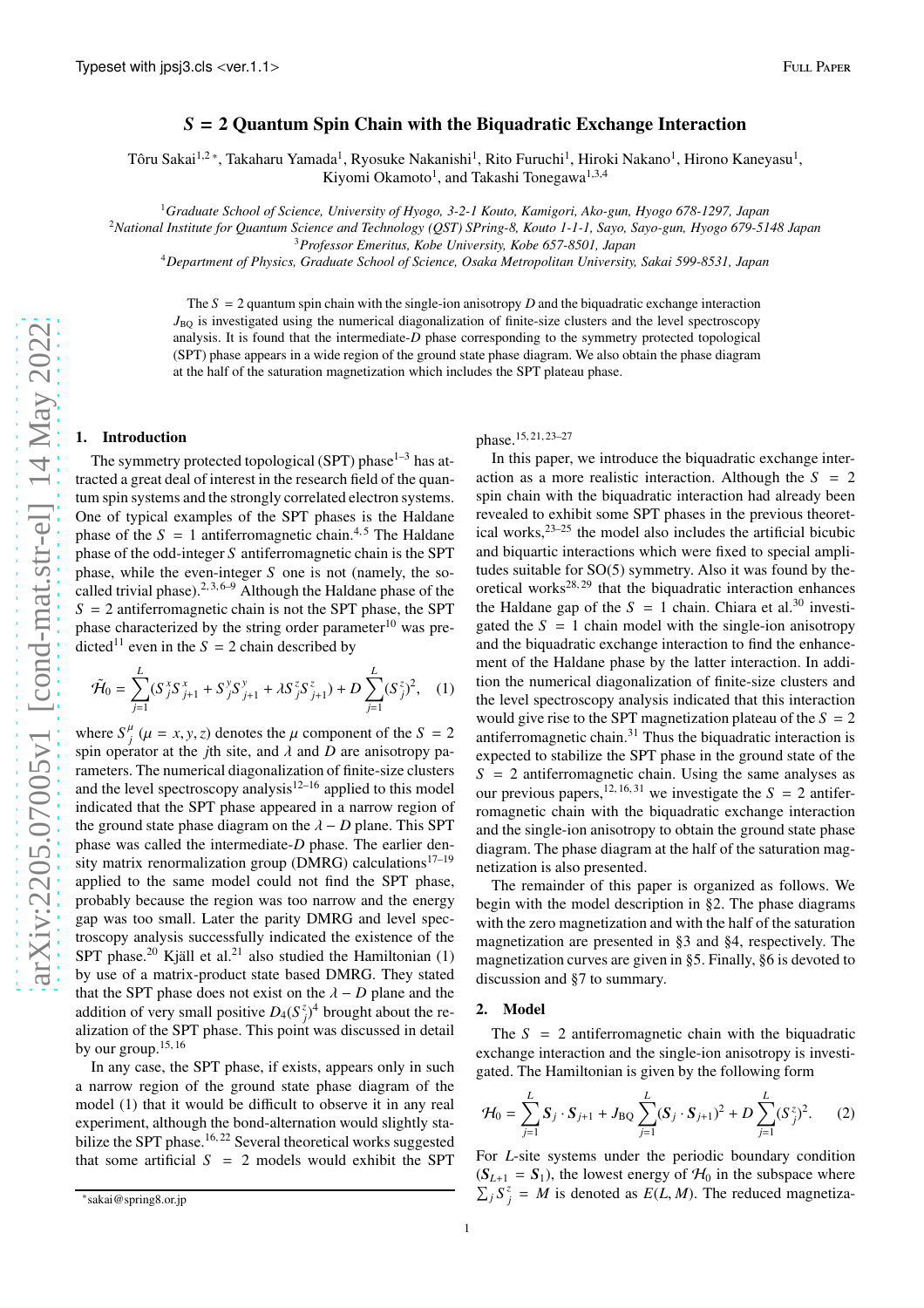# *S* = 2 Quantum Spin Chain with the Biquadratic Exchange Interaction

Tôru Sakai<sup>1,2</sup>\*, Takaharu Yamada<sup>1</sup>, Ryosuke Nakanishi<sup>1</sup>, Rito Furuchi<sup>1</sup>, Hiroki Nakano<sup>1</sup>, Hirono Kaneyasu<sup>1</sup>, Kiyomi Okamoto<sup>1</sup>, and Takashi Tonegawa<sup>1,3,4</sup>

<sup>1</sup>*Graduate School of Science, University of Hyogo, 3-2-1 Kouto, Kamigori, Ako-gun, Hyogo 678-1297, Japan*

<sup>2</sup>*National Institute for Quantum Science and Technology (QST) SPring-8, Kouto 1-1-1, Sayo, Sayo-gun, Hyogo 679-5148 Japan*

<sup>3</sup>*Professor Emeritus, Kobe University, Kobe 657-8501, Japan*

<sup>4</sup>*Department of Physics, Graduate School of Science, Osaka Metropolitan University, Sakai 599-8531, Japan*

The  $S = 2$  quantum spin chain with the single-ion anisotropy  $D$  and the biquadratic exchange interaction  $J_{BQ}$  is investigated using the numerical diagonalization of finite-size clusters and the level spectroscopy analysis. It is found that the intermediate-*D* phase corresponding to the symmetry protected topological (SPT) phase appears in a wide region of the ground state phase diagram. We also obtain the phase diagram at the half of the saturation magnetization which includes the SPT plateau phase.

### 1. Introduction

The symmetry protected topological (SPT) phase<sup>1–3</sup> has attracted a great deal of interest in the research field of the quantum spin systems and the strongly correlated electron systems. One of typical examples of the SPT phases is the Haldane phase of the  $S = 1$  antiferromagnetic chain.<sup>4,5</sup> The Haldane phase of the odd-integer *S* antiferromagnetic chain is the SPT phase, while the even-integer *S* one is not (namely, the socalled trivial phase).<sup>2, 3, 6–9</sup> Although the Haldane phase of the  $S = 2$  antiferromagnetic chain is not the SPT phase, the SPT phase characterized by the string order parameter $10$  was predicted<sup>11</sup> even in the  $S = 2$  chain described by

$$
\tilde{\mathcal{H}}_0 = \sum_{j=1}^L (S_j^x S_{j+1}^x + S_j^y S_{j+1}^y + \lambda S_j^z S_{j+1}^z) + D \sum_{j=1}^L (S_j^z)^2, \quad (1)
$$

where  $S^{\mu}_{i}$  $j$ <sup>*l*</sup> ( $\mu = x, y, z$ ) denotes the  $\mu$  component of the *S* = 2 spin operator at the *j*th site, and  $\lambda$  and *D* are anisotropy parameters. The numerical diagonalization of finite-size clusters and the level spectroscopy analysis<sup>12–16</sup> applied to this model indicated that the SPT phase appeared in a narrow region of the ground state phase diagram on the  $\lambda - D$  plane. This SPT phase was called the intermediate-*D* phase. The earlier density matrix renormalization group (DMRG) calculations<sup>17–19</sup> applied to the same model could not find the SPT phase, probably because the region was too narrow and the energy gap was too small. Later the parity DMRG and level spectroscopy analysis successfully indicated the existence of the SPT phase.<sup>20</sup> Kjäll et al.<sup>21</sup> also studied the Hamiltonian  $(1)$ by use of a matrix-product state based DMRG. They stated that the SPT phase does not exist on the  $\lambda - D$  plane and the addition of very small positive  $D_4(S_j^z)^4$  brought about the realization of the SPT phase. This point was discussed in detail by our group.<sup>15, 16</sup>

In any case, the SPT phase, if exists, appears only in such a narrow region of the ground state phase diagram of the model (1) that it would be difficult to observe it in any real experiment, although the bond-alternation would slightly stabilize the SPT phase.<sup>16, 22</sup> Several theoretical works suggested that some artificial  $S = 2$  models would exhibit the SPT

## phase.15, 21, 23–27

In this paper, we introduce the biquadratic exchange interaction as a more realistic interaction. Although the *S* = 2 spin chain with the biquadratic interaction had already been revealed to exhibit some SPT phases in the previous theoretical works, $2^{3-25}$  the model also includes the artificial bicubic and biquartic interactions which were fixed to special amplitudes suitable for SO(5) symmetry. Also it was found by theoretical works<sup>28, 29</sup> that the biquadratic interaction enhances the Haldane gap of the  $S = 1$  chain. Chiara et al.<sup>30</sup> investigated the  $S = 1$  chain model with the single-ion anisotropy and the biquadratic exchange interaction to find the enhancement of the Haldane phase by the latter interaction. In addition the numerical diagonalization of finite-size clusters and the level spectroscopy analysis indicated that this interaction would give rise to the SPT magnetization plateau of the  $S = 2$ antiferromagnetic chain. $31$  Thus the biquadratic interaction is expected to stabilize the SPT phase in the ground state of the  $S = 2$  antiferromagnetic chain. Using the same analyses as our previous papers,<sup>12, 16, 31</sup> we investigate the  $S = 2$  antiferromagnetic chain with the biquadratic exchange interaction and the single-ion anisotropy to obtain the ground state phase diagram. The phase diagram at the half of the saturation magnetization is also presented.

The remainder of this paper is organized as follows. We begin with the model description in §2. The phase diagrams with the zero magnetization and with the half of the saturation magnetization are presented in §3 and §4, respectively. The magnetization curves are given in §5. Finally, §6 is devoted to discussion and §7 to summary.

#### 2. Model

The  $S = 2$  antiferromagnetic chain with the biquadratic exchange interaction and the single-ion anisotropy is investigated. The Hamiltonian is given by the following form

$$
\mathcal{H}_0 = \sum_{j=1}^L \mathbf{S}_j \cdot \mathbf{S}_{j+1} + J_{\text{BQ}} \sum_{j=1}^L (\mathbf{S}_j \cdot \mathbf{S}_{j+1})^2 + D \sum_{j=1}^L (\mathbf{S}_j^z)^2. \tag{2}
$$

For *L*-site systems under the periodic boundary condition  $(S_{L+1} = S_1)$ , the lowest energy of  $H_0$  in the subspace where  $\sum_j S_j^z = M$  is denoted as  $E(L, M)$ . The reduced magnetiza-

<sup>\*</sup>sakai@spring8.or.jp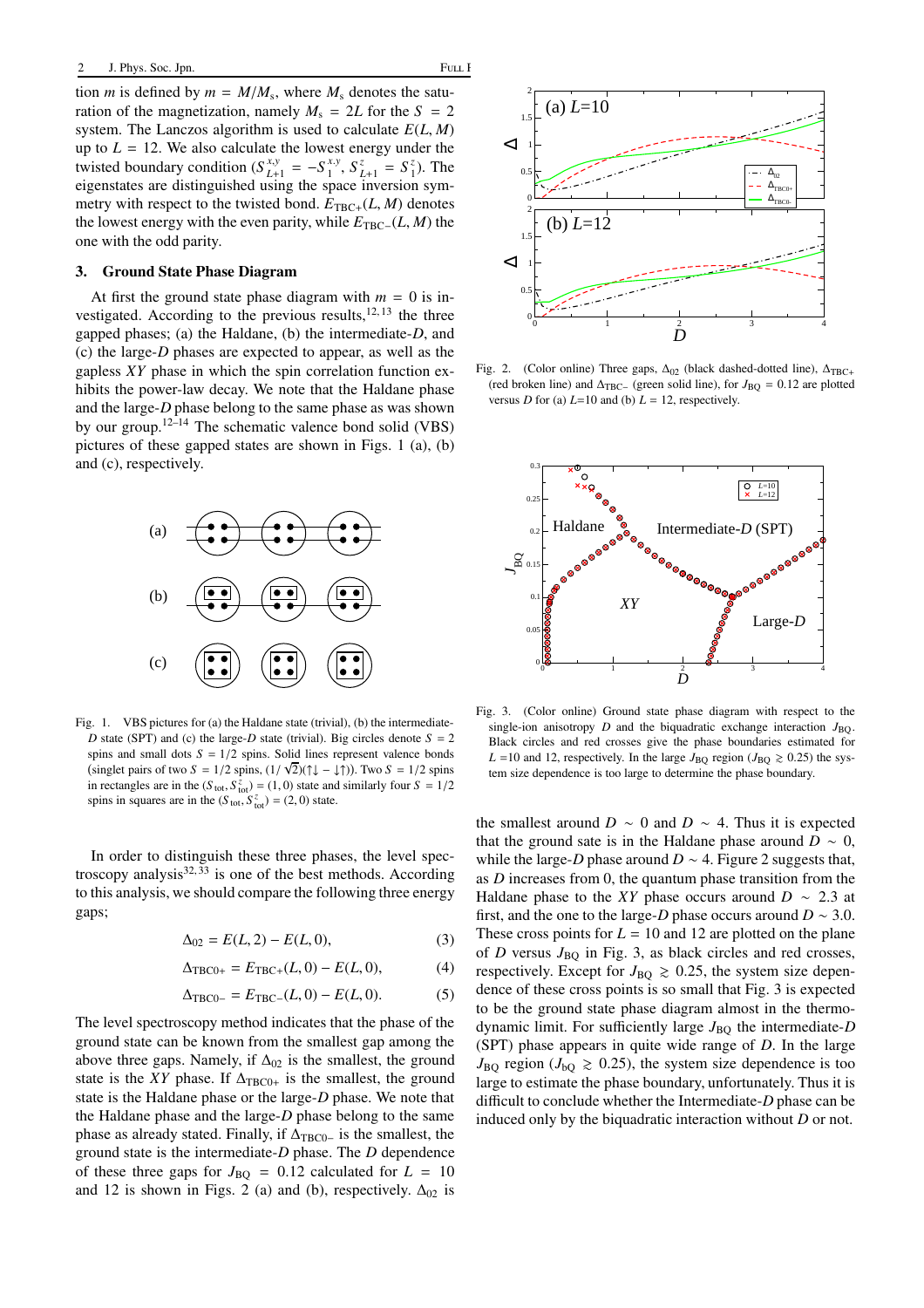tion *m* is defined by  $m = M/M_s$ , where  $M_s$  denotes the saturation of the magnetization, namely  $M_s = 2L$  for the  $S = 2$ system. The Lanczos algorithm is used to calculate *E*(*L*, *M*) up to  $L = 12$ . We also calculate the lowest energy under the twisted boundary condition  $(S_{L+1}^{x,y} = -S_1^{x,y})$  $S_{L+1}^z = S_1^z$ . The eigenstates are distinguished using the space inversion symmetry with respect to the twisted bond.  $E_{TRC+}(L, M)$  denotes the lowest energy with the even parity, while  $E_{\text{TRC}−}(L, M)$  the one with the odd parity.

### 3. Ground State Phase Diagram

At first the ground state phase diagram with  $m = 0$  is investigated. According to the previous results, $12, 13$  the three gapped phases; (a) the Haldane, (b) the intermediate-*D*, and (c) the large-*D* phases are expected to appear, as well as the gapless *XY* phase in which the spin correlation function exhibits the power-law decay. We note that the Haldane phase and the large-*D* phase belong to the same phase as was shown by our group.<sup>12–14</sup> The schematic valence bond solid (VBS) pictures of these gapped states are shown in Figs. 1 (a), (b) and (c), respectively.



Fig. 1. VBS pictures for (a) the Haldane state (trivial), (b) the intermediate-*D* state (SPT) and (c) the large-*D* state (trivial). Big circles denote  $S = 2$ spins and small dots  $S = 1/2$  spins. Solid lines represent valence bonds  $\frac{1}{\sinh \theta}$  singlet pairs of two  $S = 1/2$  spins,  $\frac{1}{\sqrt{2}}\left(\frac{1}{\sqrt{2}}\right) - \frac{1}{\sqrt{2}}\right)$ . Two  $S = 1/2$  spins in rectangles are in the  $(S<sub>tot</sub>, S<sub>tot</sub><sup>z</sup>) = (1, 0)$  state and similarly four  $S = 1/2$ spins in squares are in the  $(S_{\text{tot}}, S_{\text{tot}}^z) = (2, 0)$  state.

In order to distinguish these three phases, the level spectroscopy analysis $32,33$  is one of the best methods. According to this analysis, we should compare the following three energy gaps;

$$
\Delta_{02} = E(L, 2) - E(L, 0),\tag{3}
$$

$$
\Delta_{\text{TBC0+}} = E_{\text{TBC+}}(L,0) - E(L,0),\tag{4}
$$

$$
\Delta_{\text{TBC0-}} = E_{\text{TBC-}}(L,0) - E(L,0). \tag{5}
$$

The level spectroscopy method indicates that the phase of the ground state can be known from the smallest gap among the above three gaps. Namely, if  $\Delta_{02}$  is the smallest, the ground state is the *XY* phase. If  $\Delta_{TBC0+}$  is the smallest, the ground state is the Haldane phase or the large-*D* phase. We note that the Haldane phase and the large-*D* phase belong to the same phase as already stated. Finally, if  $\Delta_{TBC0-}$  is the smallest, the ground state is the intermediate-*D* phase. The *D* dependence of these three gaps for  $J_{\text{BO}} = 0.12$  calculated for  $L = 10$ and 12 is shown in Figs. 2 (a) and (b), respectively.  $\Delta_{02}$  is



Fig. 2. (Color online) Three gaps,  $\Delta_{02}$  (black dashed-dotted line),  $\Delta_{TBC+}$ (red broken line) and  $\Delta_{\text{TBC}-}$  (green solid line), for  $J_{\text{BO}} = 0.12$  are plotted versus *D* for (a)  $L=10$  and (b)  $L=12$ , respectively.



Fig. 3. (Color online) Ground state phase diagram with respect to the single-ion anisotropy  $D$  and the biquadratic exchange interaction  $J_{BQ}$ . Black circles and red crosses give the phase boundaries estimated for  $L = 10$  and 12, respectively. In the large  $J_{\text{BO}}$  region ( $J_{\text{BO}} \ge 0.25$ ) the system size dependence is too large to determine the phase boundary.

the smallest around *D*  $\sim$  0 and *D*  $\sim$  4. Thus it is expected that the ground sate is in the Haldane phase around  $D \sim 0$ , while the large-*D* phase around  $D \sim 4$ . Figure 2 suggests that, as *D* increases from 0, the quantum phase transition from the Haldane phase to the *XY* phase occurs around  $D \sim 2.3$  at first, and the one to the large-*D* phase occurs around  $D \sim 3.0$ . These cross points for  $L = 10$  and 12 are plotted on the plane of *D* versus  $J_{\text{BO}}$  in Fig. 3, as black circles and red crosses, respectively. Except for  $J_{\text{BO}} \geq 0.25$ , the system size dependence of these cross points is so small that Fig. 3 is expected to be the ground state phase diagram almost in the thermodynamic limit. For sufficiently large  $J_{\text{BO}}$  the intermediate-*D* (SPT) phase appears in quite wide range of *D*. In the large  $J_{\text{BO}}$  region ( $J_{\text{bO}} \ge 0.25$ ), the system size dependence is too large to estimate the phase boundary, unfortunately. Thus it is difficult to conclude whether the Intermediate-*D* phase can be induced only by the biquadratic interaction without *D* or not.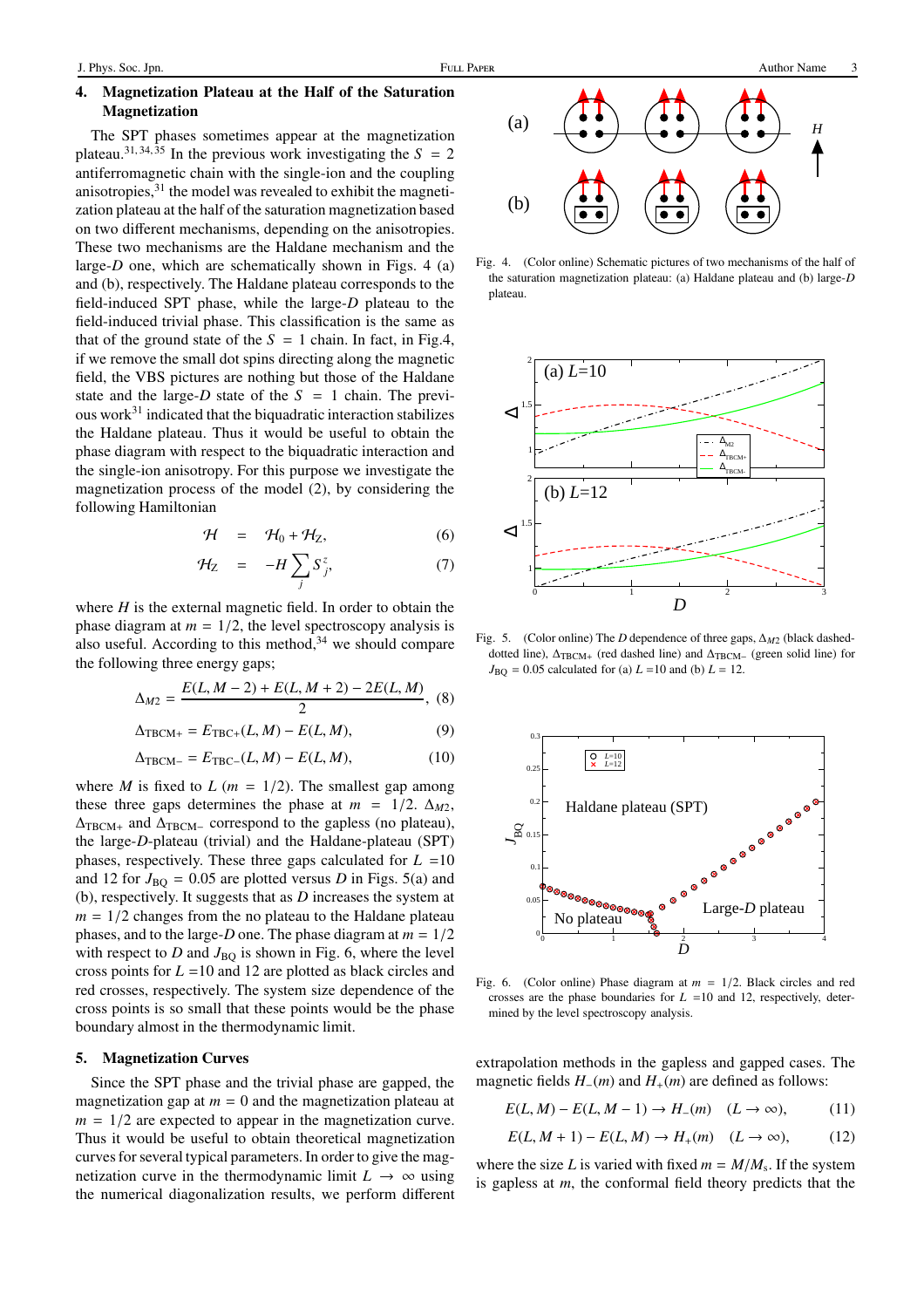# 4. Magnetization Plateau at the Half of the Saturation Magnetization

The SPT phases sometimes appear at the magnetization plateau.<sup>31, 34,  $\overline{35}$  In the previous work investigating the  $S = 2$ </sup> antiferromagnetic chain with the single-ion and the coupling anisotropies, $31$  the model was revealed to exhibit the magnetization plateau at the half of the saturation magnetization based on two different mechanisms, depending on the anisotropies. These two mechanisms are the Haldane mechanism and the large- $D$  one, which are schematically shown in Figs. 4 (a) and (b), respectively. The Haldane plateau corresponds to the field-induced SPT phase, while the large-*D* plateau to the field-induced trivial phase. This classification is the same as that of the ground state of the  $S = 1$  chain. In fact, in Fig.4, if we remove the small dot spins directing along the magnetic field, the VBS pictures are nothing but those of the Haldane state and the large- $D$  state of the  $S = 1$  chain. The previous work $31$  indicated that the biquadratic interaction stabilizes the Haldane plateau. Thus it would be useful to obtain the phase diagram with respect to the biquadratic interaction and the single-ion anisotropy. For this purpose we investigate the magnetization process of the model (2), by considering the following Hamiltonian

$$
\mathcal{H} = \mathcal{H}_0 + \mathcal{H}_Z, \tag{6}
$$

$$
\mathcal{H}_Z = -H \sum_j S_j^z, \tag{7}
$$

where *H* is the external magnetic field. In order to obtain the phase diagram at  $m = 1/2$ , the level spectroscopy analysis is also useful. According to this method,  $34$  we should compare the following three energy gaps;

$$
\Delta_{M2} = \frac{E(L, M-2) + E(L, M+2) - 2E(L, M)}{2}, \tag{8}
$$

$$
\Delta_{\text{TBCM}+} = E_{\text{TBC}+}(L, M) - E(L, M),\tag{9}
$$

$$
\Delta_{\text{TBCM}-} = E_{\text{TBC}-}(L, M) - E(L, M),\tag{10}
$$

where *M* is fixed to *L* ( $m = 1/2$ ). The smallest gap among these three gaps determines the phase at  $m = 1/2$ .  $\Delta_{M2}$ ,  $\Delta_{\text{TBCM+}}$  and  $\Delta_{\text{TBCM-}}$  correspond to the gapless (no plateau), the large-*D*-plateau (trivial) and the Haldane-plateau (SPT) phases, respectively. These three gaps calculated for  $L = 10$ and 12 for  $J_{\text{BO}} = 0.05$  are plotted versus *D* in Figs. 5(a) and (b), respectively. It suggests that as *D* increases the system at  $m = 1/2$  changes from the no plateau to the Haldane plateau phases, and to the large-*D* one. The phase diagram at *m* = 1/2 with respect to  $D$  and  $J_{BO}$  is shown in Fig. 6, where the level cross points for *L* =10 and 12 are plotted as black circles and red crosses, respectively. The system size dependence of the cross points is so small that these points would be the phase boundary almost in the thermodynamic limit.

### 5. Magnetization Curves

Since the SPT phase and the trivial phase are gapped, the magnetization gap at  $m = 0$  and the magnetization plateau at  $m = 1/2$  are expected to appear in the magnetization curve. Thus it would be useful to obtain theoretical magnetization curves for several typical parameters. In order to give the magnetization curve in the thermodynamic limit  $L \rightarrow \infty$  using the numerical diagonalization results, we perform different



Fig. 4. (Color online) Schematic pictures of two mechanisms of the half of the saturation magnetization plateau: (a) Haldane plateau and (b) large-*D* plateau.



Fig. 5. (Color online) The *D* dependence of three gaps, ∆*M*<sup>2</sup> (black dasheddotted line),  $\Delta_{\text{TBCM}+}$  (red dashed line) and  $\Delta_{\text{TBCM}-}$  (green solid line) for  $J_{\text{BQ}} = 0.05$  calculated for (a)  $L = 10$  and (b)  $L = 12$ .



Fig. 6. (Color online) Phase diagram at  $m = 1/2$ . Black circles and red crosses are the phase boundaries for  $L = 10$  and 12, respectively, determined by the level spectroscopy analysis.

extrapolation methods in the gapless and gapped cases. The magnetic fields *H*−(*m*) and *H*+(*m*) are defined as follows:

$$
E(L, M) - E(L, M - 1) \to H_{-}(m) \quad (L \to \infty), \tag{11}
$$

$$
E(L, M+1) - E(L, M) \to H_+(m) \quad (L \to \infty), \tag{12}
$$

where the size *L* is varied with fixed  $m = M/M_s$ . If the system is gapless at *m*, the conformal field theory predicts that the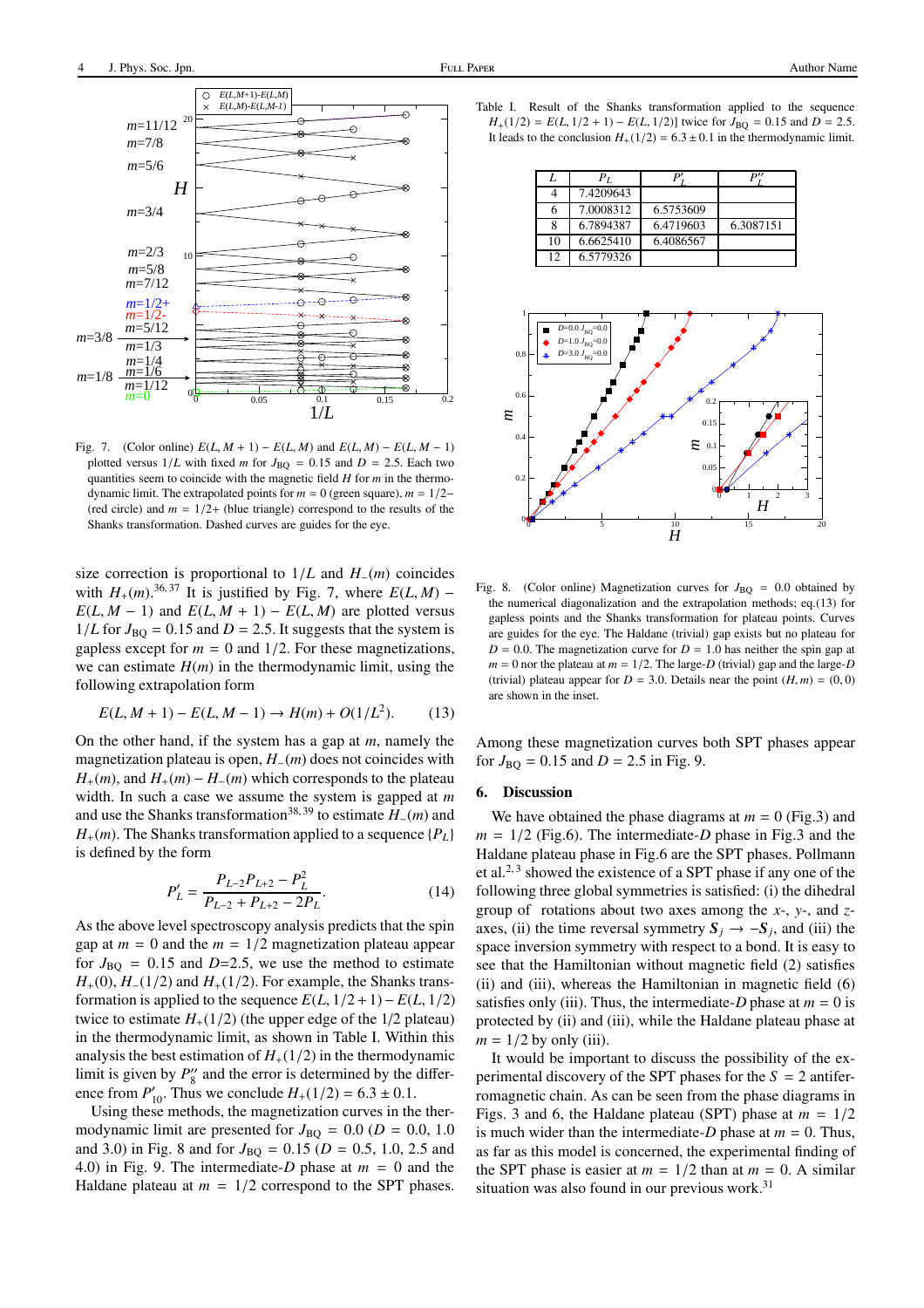

Fig. 7. (Color online)  $E(L, M + 1) - E(L, M)$  and  $E(L, M) - E(L, M - 1)$ plotted versus  $1/L$  with fixed *m* for  $J_{\text{BO}} = 0.15$  and  $D = 2.5$ . Each two quantities seem to coincide with the magnetic field *H* for *m* in the thermodynamic limit. The extrapolated points for  $m = 0$  (green square),  $m = 1/2-$ (red circle) and  $m = 1/2+$  (blue triangle) correspond to the results of the Shanks transformation. Dashed curves are guides for the eye.

size correction is proportional to 1/*L* and *H*−(*m*) coincides with  $H_+(m)$ .<sup>36, 37</sup> It is justified by Fig. 7, where  $E(L, M)$  −  $E(L, M - 1)$  and  $E(L, M + 1) - E(L, M)$  are plotted versus  $1/L$  for  $J_{BQ} = 0.15$  and  $D = 2.5$ . It suggests that the system is gapless except for  $m = 0$  and  $1/2$ . For these magnetizations, we can estimate  $H(m)$  in the thermodynamic limit, using the following extrapolation form

$$
E(L, M + 1) - E(L, M - 1) \to H(m) + O(1/L2). \tag{13}
$$

On the other hand, if the system has a gap at *m*, namely the magnetization plateau is open, *H*−(*m*) does not coincides with  $H_{+}(m)$ , and  $H_{+}(m) - H_{-}(m)$  which corresponds to the plateau width. In such a case we assume the system is gapped at *m* and use the Shanks transformation38, 39 to estimate *<sup>H</sup>*−(*m*) and  $H_{+}(m)$ . The Shanks transformation applied to a sequence  $\{P_{L}\}$ is defined by the form

$$
P'_{L} = \frac{P_{L-2}P_{L+2} - P_{L}^{2}}{P_{L-2} + P_{L+2} - 2P_{L}}.
$$
\n(14)

As the above level spectroscopy analysis predicts that the spin gap at  $m = 0$  and the  $m = 1/2$  magnetization plateau appear for  $J_{\text{BO}} = 0.15$  and  $D=2.5$ , we use the method to estimate  $H_{+}(0)$ ,  $H_{-}(1/2)$  and  $H_{+}(1/2)$ . For example, the Shanks transformation is applied to the sequence  $E(L, 1/2+1)-E(L, 1/2)$ twice to estimate  $H_+(1/2)$  (the upper edge of the  $1/2$  plateau) in the thermodynamic limit, as shown in Table I. Within this analysis the best estimation of  $H_+(1/2)$  in the thermodynamic limit is given by  $P_8''$  and the error is determined by the difference from  $P'_{10}$ . Thus we conclude  $H_+(1/2) = 6.3 \pm 0.1$ .

Using these methods, the magnetization curves in the thermodynamic limit are presented for  $J_{\text{BQ}} = 0.0$  ( $D = 0.0$ , 1.0 and 3.0) in Fig. 8 and for  $J_{\text{BO}} = 0.15$  ( $D = 0.5$ , 1.0, 2.5 and 4.0) in Fig. 9. The intermediate-*D* phase at *m* = 0 and the Haldane plateau at  $m = 1/2$  correspond to the SPT phases.

|         | $P_{L}$   |           |           |
|---------|-----------|-----------|-----------|
|         | 7.4209643 |           |           |
| 6       | 7.0008312 | 6.5753609 |           |
| 8       | 6.7894387 | 6.4719603 | 6.3087151 |
| 10      | 6.6625410 | 6.4086567 |           |
| $12 \,$ | 6.5779326 |           |           |



Fig. 8. (Color online) Magnetization curves for  $J_{\text{BO}} = 0.0$  obtained by the numerical diagonalization and the extrapolation methods; eq.(13) for gapless points and the Shanks transformation for plateau points. Curves are guides for the eye. The Haldane (trivial) gap exists but no plateau for  $D = 0.0$ . The magnetization curve for  $D = 1.0$  has neither the spin gap at  $m = 0$  nor the plateau at  $m = 1/2$ . The large-*D* (trivial) gap and the large-*D* (trivial) plateau appear for  $D = 3.0$ . Details near the point  $(H, m) = (0, 0)$ are shown in the inset.

Among these magnetization curves both SPT phases appear for  $J_{\text{BO}} = 0.15$  and  $D = 2.5$  in Fig. 9.

## 6. Discussion

We have obtained the phase diagrams at  $m = 0$  (Fig.3) and  $m = 1/2$  (Fig.6). The intermediate-*D* phase in Fig.3 and the Haldane plateau phase in Fig.6 are the SPT phases. Pollmann et al.<sup>2, 3</sup> showed the existence of a SPT phase if any one of the following three global symmetries is satisfied: (i) the dihedral group of rotations about two axes among the *x*-, *y*-, and *z*axes, (ii) the time reversal symmetry  $S_j \rightarrow -S_j$ , and (iii) the space inversion symmetry with respect to a bond. It is easy to see that the Hamiltonian without magnetic field (2) satisfies (ii) and (iii), whereas the Hamiltonian in magnetic field (6) satisfies only (iii). Thus, the intermediate-*D* phase at  $m = 0$  is protected by (ii) and (iii), while the Haldane plateau phase at  $m = 1/2$  by only (iii).

It would be important to discuss the possibility of the experimental discovery of the SPT phases for the  $S = 2$  antiferromagnetic chain. As can be seen from the phase diagrams in Figs. 3 and 6, the Haldane plateau (SPT) phase at  $m = 1/2$ is much wider than the intermediate- $D$  phase at  $m = 0$ . Thus, as far as this model is concerned, the experimental finding of the SPT phase is easier at  $m = 1/2$  than at  $m = 0$ . A similar situation was also found in our previous work.<sup>31</sup>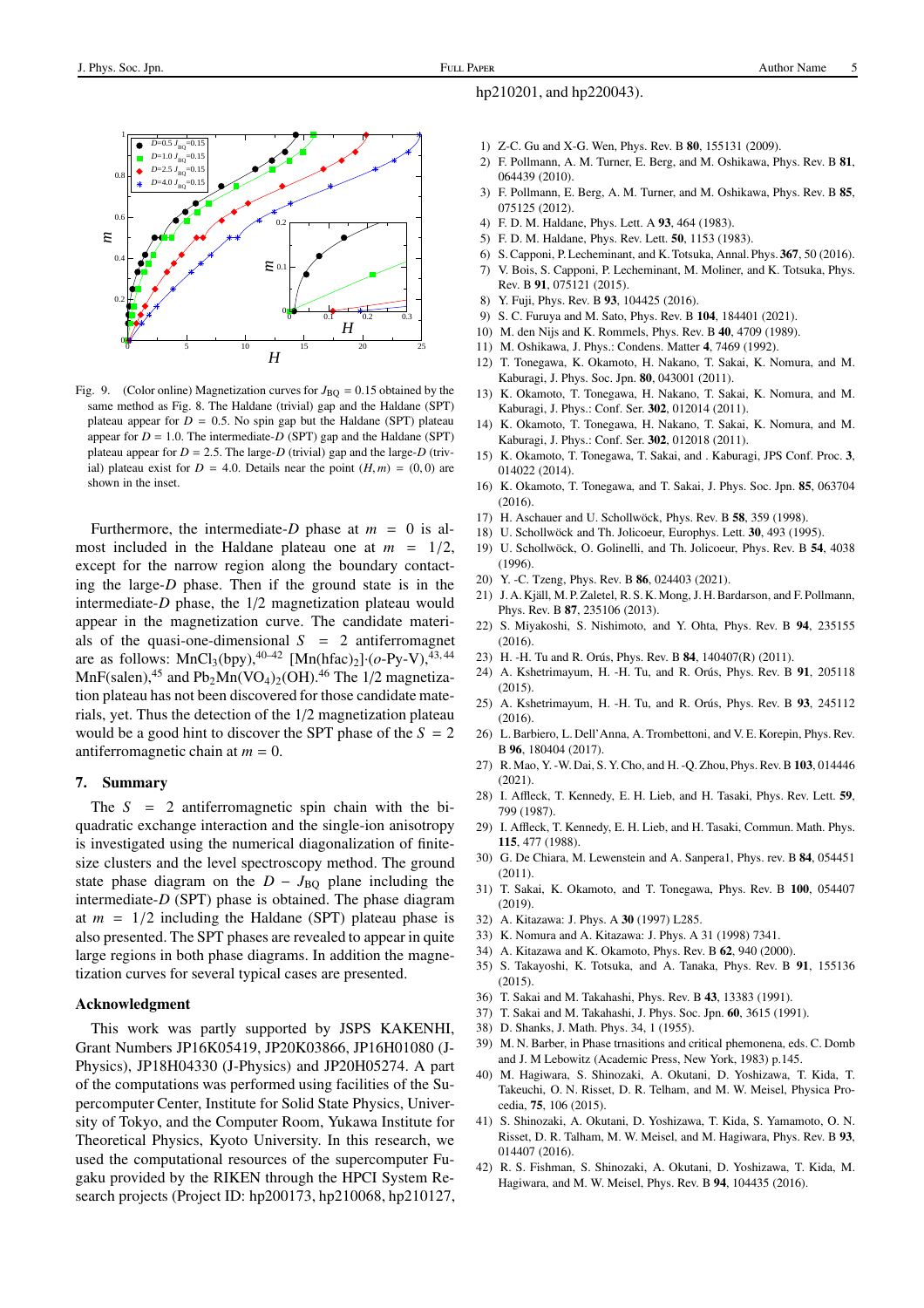

Fig. 9. (Color online) Magnetization curves for  $J_{\text{BO}} = 0.15$  obtained by the same method as Fig. 8. The Haldane (trivial) gap and the Haldane (SPT) plateau appear for  $D = 0.5$ . No spin gap but the Haldane (SPT) plateau appear for  $D = 1.0$ . The intermediate- $D$  (SPT) gap and the Haldane (SPT) plateau appear for  $D = 2.5$ . The large- $D$  (trivial) gap and the large- $D$  (trivial) plateau exist for  $D = 4.0$ . Details near the point  $(H, m) = (0, 0)$  are shown in the inset.

Furthermore, the intermediate-*D* phase at  $m = 0$  is almost included in the Haldane plateau one at  $m = 1/2$ , except for the narrow region along the boundary contacting the large-*D* phase. Then if the ground state is in the intermediate-*D* phase, the 1/2 magnetization plateau would appear in the magnetization curve. The candidate materials of the quasi-one-dimensional  $S = 2$  antiferromagnet are as follows:  $MnCl_3(bpy)$ ,  $40-42$   $[Mn(hfac)_2] \cdot (o-Py-V)$ ,  $43, 44$  $MnF(salen)$ ,<sup>45</sup> and Pb<sub>2</sub>Mn(VO<sub>4</sub>)<sub>2</sub>(OH).<sup>46</sup> The 1/2 magnetization plateau has not been discovered for those candidate materials, yet. Thus the detection of the 1/2 magnetization plateau would be a good hint to discover the SPT phase of the  $S = 2$ antiferromagnetic chain at  $m = 0$ .

#### 7. Summary

The  $S = 2$  antiferromagnetic spin chain with the biquadratic exchange interaction and the single-ion anisotropy is investigated using the numerical diagonalization of finitesize clusters and the level spectroscopy method. The ground state phase diagram on the  $D - J_{\text{BO}}$  plane including the intermediate-*D* (SPT) phase is obtained. The phase diagram at  $m = 1/2$  including the Haldane (SPT) plateau phase is also presented. The SPT phases are revealed to appear in quite large regions in both phase diagrams. In addition the magnetization curves for several typical cases are presented.

#### Acknowledgment

This work was partly supported by JSPS KAKENHI, Grant Numbers JP16K05419, JP20K03866, JP16H01080 (J-Physics), JP18H04330 (J-Physics) and JP20H05274. A part of the computations was performed using facilities of the Supercomputer Center, Institute for Solid State Physics, University of Tokyo, and the Computer Room, Yukawa Institute for Theoretical Physics, Kyoto University. In this research, we used the computational resources of the supercomputer Fugaku provided by the RIKEN through the HPCI System Research projects (Project ID: hp200173, hp210068, hp210127,

## hp210201, and hp220043).

- 1) Z-C. Gu and X-G. Wen, Phys. Rev. B 80, 155131 (2009).
- 2) F. Pollmann, A. M. Turner, E. Berg, and M. Oshikawa, Phys. Rev. B 81, 064439 (2010).
- 3) F. Pollmann, E. Berg, A. M. Turner, and M. Oshikawa, Phys. Rev. B 85, 075125 (2012).
- 4) F. D. M. Haldane, Phys. Lett. A 93, 464 (1983).
- 5) F. D. M. Haldane, Phys. Rev. Lett. 50, 1153 (1983).
- 6) S. Capponi, P. Lecheminant, and K. Totsuka, Annal. Phys. 367, 50 (2016).
- 7) V. Bois, S. Capponi, P. Lecheminant, M. Moliner, and K. Totsuka, Phys. Rev. B 91, 075121 (2015).
- 8) Y. Fuji, Phys. Rev. B 93, 104425 (2016).
- 9) S. C. Furuya and M. Sato, Phys. Rev. B 104, 184401 (2021).
- 10) M. den Nijs and K. Rommels, Phys. Rev. B 40, 4709 (1989).
- 11) M. Oshikawa, J. Phys.: Condens. Matter 4, 7469 (1992).
- 12) T. Tonegawa, K. Okamoto, H. Nakano, T. Sakai, K. Nomura, and M. Kaburagi, J. Phys. Soc. Jpn. 80, 043001 (2011).
- 13) K. Okamoto, T. Tonegawa, H. Nakano, T. Sakai, K. Nomura, and M. Kaburagi, J. Phys.: Conf. Ser. 302, 012014 (2011).
- 14) K. Okamoto, T. Tonegawa, H. Nakano, T. Sakai, K. Nomura, and M. Kaburagi, J. Phys.: Conf. Ser. 302, 012018 (2011).
- 15) K. Okamoto, T. Tonegawa, T. Sakai, and . Kaburagi, JPS Conf. Proc. 3, 014022 (2014).
- 16) K. Okamoto, T. Tonegawa, and T. Sakai, J. Phys. Soc. Jpn. 85, 063704 (2016).
- 17) H. Aschauer and U. Schollwöck, Phys. Rev. B 58, 359 (1998).
- 18) U. Schollwöck and Th. Jolicoeur, Europhys. Lett. 30, 493 (1995).
- 19) U. Schollwöck, O. Golinelli, and Th. Jolicoeur, Phys. Rev. B 54, 4038 (1996).
- 20) Y. -C. Tzeng, Phys. Rev. B 86, 024403 (2021).
- 21) J. A. Kjäll, M. P. Zaletel, R. S. K. Mong, J. H. Bardarson, and F. Pollmann, Phys. Rev. B 87, 235106 (2013).
- 22) S. Miyakoshi, S. Nishimoto, and Y. Ohta, Phys. Rev. B 94, 235155 (2016).
- 23) H. -H. Tu and R. Orús, Phys. Rev. B 84, 140407(R) (2011).
- 24) A. Kshetrimayum, H. -H. Tu, and R. Orús, Phys. Rev. B 91, 205118  $(2015)$
- 25) A. Kshetrimayum, H. -H. Tu, and R. Orús, Phys. Rev. B 93, 245112 (2016).
- 26) L. Barbiero, L. Dell'Anna, A. Trombettoni, and V. E. Korepin, Phys. Rev. B 96, 180404 (2017).
- 27) R. Mao, Y. -W. Dai, S. Y. Cho, and H. -Q. Zhou, Phys. Rev. B 103, 014446 (2021).
- 28) I. Affleck, T. Kennedy, E. H. Lieb, and H. Tasaki, Phys. Rev. Lett. 59, 799 (1987).
- 29) I. Affleck, T. Kennedy, E. H. Lieb, and H. Tasaki, Commun. Math. Phys. 115, 477 (1988).
- 30) G. De Chiara, M. Lewenstein and A. Sanpera1, Phys. rev. B 84, 054451 (2011).
- 31) T. Sakai, K. Okamoto, and T. Tonegawa, Phys. Rev. B 100, 054407 (2019).
- 32) A. Kitazawa: J. Phys. A 30 (1997) L285.
- 33) K. Nomura and A. Kitazawa: J. Phys. A 31 (1998) 7341.
- 34) A. Kitazawa and K. Okamoto, Phys. Rev. B 62, 940 (2000).
- 35) S. Takayoshi, K. Totsuka, and A. Tanaka, Phys. Rev. B 91, 155136 (2015).
- 36) T. Sakai and M. Takahashi, Phys. Rev. B 43, 13383 (1991).
- 37) T. Sakai and M. Takahashi, J. Phys. Soc. Jpn. 60, 3615 (1991).
- 38) D. Shanks, J. Math. Phys. 34, 1 (1955).
- 39) M. N. Barber, in Phase trnasitions and critical phemonena, eds. C. Domb and J. M Lebowitz (Academic Press, New York, 1983) p.145.
- 40) M. Hagiwara, S. Shinozaki, A. Okutani, D. Yoshizawa, T. Kida, T. Takeuchi, O. N. Risset, D. R. Telham, and M. W. Meisel, Physica Procedia, 75, 106 (2015).
- 41) S. Shinozaki, A. Okutani, D. Yoshizawa, T. Kida, S. Yamamoto, O. N. Risset, D. R. Talham, M. W. Meisel, and M. Hagiwara, Phys. Rev. B 93, 014407 (2016).
- 42) R. S. Fishman, S. Shinozaki, A. Okutani, D. Yoshizawa, T. Kida, M. Hagiwara, and M. W. Meisel, Phys. Rev. B 94, 104435 (2016).